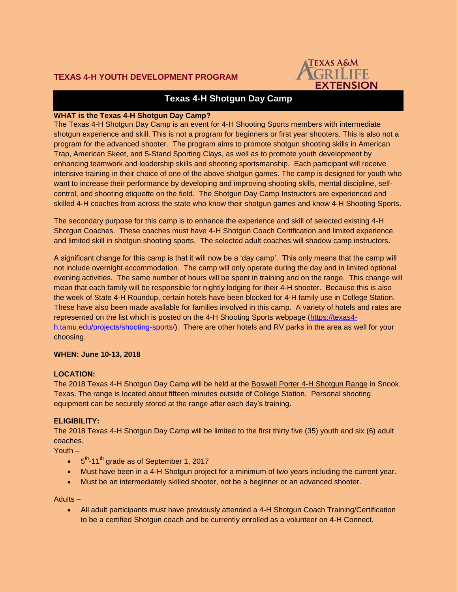

# **Texas 4-H Shotgun Day Camp**

## **WHAT is the Texas 4-H Shotgun Day Camp?**

The Texas 4-H Shotgun Day Camp is an event for 4-H Shooting Sports members with intermediate shotgun experience and skill. This is not a program for beginners or first year shooters. This is also not a program for the advanced shooter. The program aims to promote shotgun shooting skills in American Trap, American Skeet, and 5-Stand Sporting Clays, as well as to promote youth development by enhancing teamwork and leadership skills and shooting sportsmanship. Each participant will receive intensive training in their choice of one of the above shotgun games. The camp is designed for youth who want to increase their performance by developing and improving shooting skills, mental discipline, selfcontrol, and shooting etiquette on the field. The Shotgun Day Camp Instructors are experienced and skilled 4-H coaches from across the state who know their shotgun games and know 4-H Shooting Sports.

The secondary purpose for this camp is to enhance the experience and skill of selected existing 4-H Shotgun Coaches. These coaches must have 4-H Shotgun Coach Certification and limited experience and limited skill in shotgun shooting sports. The selected adult coaches will shadow camp instructors.

A significant change for this camp is that it will now be a 'day camp'. This only means that the camp will not include overnight accommodation. The camp will only operate during the day and in limited optional evening activities. The same number of hours will be spent in training and on the range. This change will mean that each family will be responsible for nightly lodging for their 4-H shooter. Because this is also the week of State 4-H Roundup, certain hotels have been blocked for 4-H family use in College Station. These have also been made available for families involved in this camp. A variety of hotels and rates are represented on the list which is posted on the 4-H Shooting Sports webpage [\(https://texas4](https://texas4-h.tamu.edu/projects/shooting-sports/) [h.tamu.edu/projects/shooting-sports/\)](https://texas4-h.tamu.edu/projects/shooting-sports/). There are other hotels and RV parks in the area as well for your choosing.

#### **WHEN: June 10-13, 2018**

## **LOCATION:**

The 2018 Texas 4-H Shotgun Day Camp will be held at the Boswell Porter 4-H Shotgun Range in Snook, Texas. The range is located about fifteen minutes outside of College Station. Personal shooting equipment can be securely stored at the range after each day's training.

## **ELIGIBILITY:**

The 2018 Texas 4-H Shotgun Day Camp will be limited to the first thirty five (35) youth and six (6) adult coaches.

Youth –

- $\bullet$  5<sup>th</sup>-11<sup>th</sup> grade as of September 1, 2017
- Must have been in a 4-H Shotgun project for a minimum of two years including the current year.
- Must be an intermediately skilled shooter, not be a beginner or an advanced shooter.

Adults –

• All adult participants must have previously attended a 4-H Shotgun Coach Training/Certification to be a certified Shotgun coach and be currently enrolled as a volunteer on 4-H Connect.